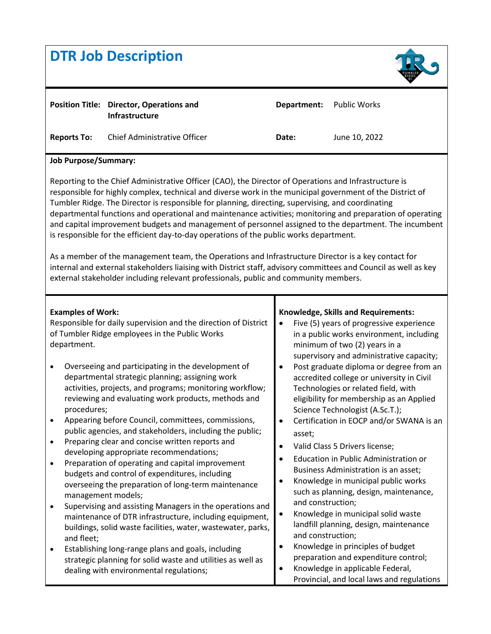| <b>DTR Job Description</b>                                                                                                                                                                                                                                                                                                                                                                                                                                                                                                                                                                                                                                                                                                                                                                                                                                                                                                                                                                |                                                                                                                                                                                                                                                                                                                                                                                                                                                                                                                                                                                                                                                                                                                                                                                                                                                                                                                                                                                                                                                                                   |                                                                                                                                             |                                                                                                                                                                                                                                                                                                                                                                                                                                                                                                                                                                                                                                                                                                                                                                                                                                                                                                                       |
|-------------------------------------------------------------------------------------------------------------------------------------------------------------------------------------------------------------------------------------------------------------------------------------------------------------------------------------------------------------------------------------------------------------------------------------------------------------------------------------------------------------------------------------------------------------------------------------------------------------------------------------------------------------------------------------------------------------------------------------------------------------------------------------------------------------------------------------------------------------------------------------------------------------------------------------------------------------------------------------------|-----------------------------------------------------------------------------------------------------------------------------------------------------------------------------------------------------------------------------------------------------------------------------------------------------------------------------------------------------------------------------------------------------------------------------------------------------------------------------------------------------------------------------------------------------------------------------------------------------------------------------------------------------------------------------------------------------------------------------------------------------------------------------------------------------------------------------------------------------------------------------------------------------------------------------------------------------------------------------------------------------------------------------------------------------------------------------------|---------------------------------------------------------------------------------------------------------------------------------------------|-----------------------------------------------------------------------------------------------------------------------------------------------------------------------------------------------------------------------------------------------------------------------------------------------------------------------------------------------------------------------------------------------------------------------------------------------------------------------------------------------------------------------------------------------------------------------------------------------------------------------------------------------------------------------------------------------------------------------------------------------------------------------------------------------------------------------------------------------------------------------------------------------------------------------|
| <b>Reports To:</b>                                                                                                                                                                                                                                                                                                                                                                                                                                                                                                                                                                                                                                                                                                                                                                                                                                                                                                                                                                        | <b>Position Title: Director, Operations and</b><br>Infrastructure<br>Chief Administrative Officer                                                                                                                                                                                                                                                                                                                                                                                                                                                                                                                                                                                                                                                                                                                                                                                                                                                                                                                                                                                 | Department:<br>Date:                                                                                                                        | <b>Public Works</b><br>June 10, 2022                                                                                                                                                                                                                                                                                                                                                                                                                                                                                                                                                                                                                                                                                                                                                                                                                                                                                  |
|                                                                                                                                                                                                                                                                                                                                                                                                                                                                                                                                                                                                                                                                                                                                                                                                                                                                                                                                                                                           |                                                                                                                                                                                                                                                                                                                                                                                                                                                                                                                                                                                                                                                                                                                                                                                                                                                                                                                                                                                                                                                                                   |                                                                                                                                             |                                                                                                                                                                                                                                                                                                                                                                                                                                                                                                                                                                                                                                                                                                                                                                                                                                                                                                                       |
| <b>Job Purpose/Summary:</b><br>Reporting to the Chief Administrative Officer (CAO), the Director of Operations and Infrastructure is<br>responsible for highly complex, technical and diverse work in the municipal government of the District of<br>Tumbler Ridge. The Director is responsible for planning, directing, supervising, and coordinating<br>departmental functions and operational and maintenance activities; monitoring and preparation of operating<br>and capital improvement budgets and management of personnel assigned to the department. The incumbent<br>is responsible for the efficient day-to-day operations of the public works department.<br>As a member of the management team, the Operations and Infrastructure Director is a key contact for<br>internal and external stakeholders liaising with District staff, advisory committees and Council as well as key<br>external stakeholder including relevant professionals, public and community members. |                                                                                                                                                                                                                                                                                                                                                                                                                                                                                                                                                                                                                                                                                                                                                                                                                                                                                                                                                                                                                                                                                   |                                                                                                                                             |                                                                                                                                                                                                                                                                                                                                                                                                                                                                                                                                                                                                                                                                                                                                                                                                                                                                                                                       |
| <b>Examples of Work:</b><br>department.<br>$\bullet$<br>procedures;<br>$\bullet$<br>٠<br>management models;<br>٠<br>and fleet;<br>٠                                                                                                                                                                                                                                                                                                                                                                                                                                                                                                                                                                                                                                                                                                                                                                                                                                                       | Responsible for daily supervision and the direction of District<br>of Tumbler Ridge employees in the Public Works<br>Overseeing and participating in the development of<br>departmental strategic planning; assigning work<br>activities, projects, and programs; monitoring workflow;<br>reviewing and evaluating work products, methods and<br>Appearing before Council, committees, commissions,<br>public agencies, and stakeholders, including the public;<br>Preparing clear and concise written reports and<br>developing appropriate recommendations;<br>Preparation of operating and capital improvement<br>budgets and control of expenditures, including<br>overseeing the preparation of long-term maintenance<br>Supervising and assisting Managers in the operations and<br>maintenance of DTR infrastructure, including equipment,<br>buildings, solid waste facilities, water, wastewater, parks,<br>Establishing long-range plans and goals, including<br>strategic planning for solid waste and utilities as well as<br>dealing with environmental regulations; | $\bullet$<br>$\bullet$<br>asset;<br>$\bullet$<br>$\bullet$<br>and construction;<br>$\bullet$<br>and construction;<br>$\bullet$<br>$\bullet$ | Knowledge, Skills and Requirements:<br>Five (5) years of progressive experience<br>in a public works environment, including<br>minimum of two (2) years in a<br>supervisory and administrative capacity;<br>Post graduate diploma or degree from an<br>accredited college or university in Civil<br>Technologies or related field, with<br>eligibility for membership as an Applied<br>Science Technologist (A.Sc.T.);<br>Certification in EOCP and/or SWANA is an<br>Valid Class 5 Drivers license;<br>Education in Public Administration or<br>Business Administration is an asset;<br>Knowledge in municipal public works<br>such as planning, design, maintenance,<br>Knowledge in municipal solid waste<br>landfill planning, design, maintenance<br>Knowledge in principles of budget<br>preparation and expenditure control;<br>Knowledge in applicable Federal,<br>Provincial, and local laws and regulations |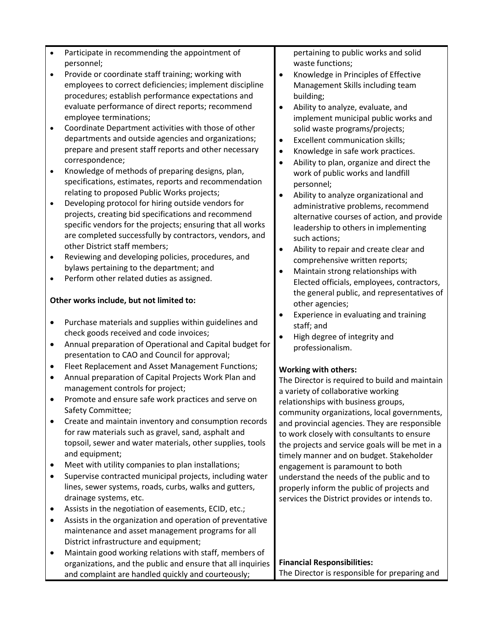- Participate in recommending the appointment of personnel;
- Provide or coordinate staff training; working with employees to correct deficiencies; implement discipline procedures; establish performance expectations and evaluate performance of direct reports; recommend employee terminations;
- Coordinate Department activities with those of other departments and outside agencies and organizations; prepare and present staff reports and other necessary correspondence;
- Knowledge of methods of preparing designs, plan, specifications, estimates, reports and recommendation relating to proposed Public Works projects;
- Developing protocol for hiring outside vendors for projects, creating bid specifications and recommend specific vendors for the projects; ensuring that all works are completed successfully by contractors, vendors, and other District staff members;
- Reviewing and developing policies, procedures, and bylaws pertaining to the department; and
- Perform other related duties as assigned.

# **Other works include, but not limited to:**

- Purchase materials and supplies within guidelines and check goods received and code invoices;
- Annual preparation of Operational and Capital budget for presentation to CAO and Council for approval;
- Fleet Replacement and Asset Management Functions;
- Annual preparation of Capital Projects Work Plan and management controls for project;
- Promote and ensure safe work practices and serve on Safety Committee;
- Create and maintain inventory and consumption records for raw materials such as gravel, sand, asphalt and topsoil, sewer and water materials, other supplies, tools and equipment;
- Meet with utility companies to plan installations;
- Supervise contracted municipal projects, including water lines, sewer systems, roads, curbs, walks and gutters, drainage systems, etc.
- Assists in the negotiation of easements, ECID, etc.;
- Assists in the organization and operation of preventative maintenance and asset management programs for all District infrastructure and equipment;
- Maintain good working relations with staff, members of organizations, and the public and ensure that all inquiries and complaint are handled quickly and courteously;

pertaining to public works and solid waste functions;

- Knowledge in Principles of Effective Management Skills including team building;
- Ability to analyze, evaluate, and implement municipal public works and solid waste programs/projects;
- Excellent communication skills;
- Knowledge in safe work practices.
- Ability to plan, organize and direct the work of public works and landfill personnel;
- Ability to analyze organizational and administrative problems, recommend alternative courses of action, and provide leadership to others in implementing such actions;
- Ability to repair and create clear and comprehensive written reports;
- Maintain strong relationships with Elected officials, employees, contractors, the general public, and representatives of other agencies;
- Experience in evaluating and training staff; and
- High degree of integrity and professionalism.

# **Working with others:**

The Director is required to build and maintain a variety of collaborative working relationships with business groups, community organizations, local governments, and provincial agencies. They are responsible to work closely with consultants to ensure the projects and service goals will be met in a timely manner and on budget. Stakeholder engagement is paramount to both understand the needs of the public and to properly inform the public of projects and services the District provides or intends to.

#### **Financial Responsibilities:** The Director is responsible for preparing and